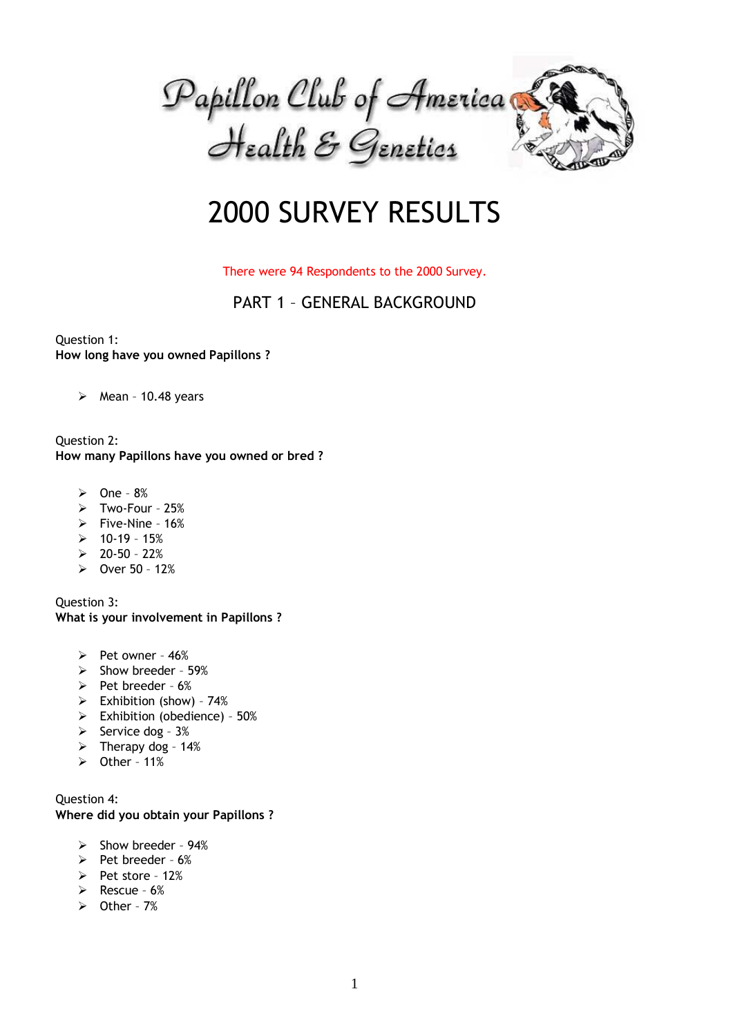

# 2000 SURVEY RESULTS

#### There were 94 Respondents to the 2000 Survey.

# PART 1 – GENERAL BACKGROUND

Question 1: **How long have you owned Papillons ?**

 $\triangleright$  Mean - 10.48 years

Question 2: **How many Papillons have you owned or bred ?**

- $\triangleright$  One 8%
- $\triangleright$  Two-Four 25%
- $\triangleright$  Five-Nine 16%
- $\geq 10-19 15%$
- $20-50 22%$
- $\triangleright$  Over 50 12%

Question 3: **What is your involvement in Papillons ?**

- $\triangleright$  Pet owner 46%
- $\triangleright$  Show breeder 59%
- $\triangleright$  Pet breeder 6%
- $\triangleright$  Exhibition (show) 74%
- $\triangleright$  Exhibition (obedience) 50%
- $\triangleright$  Service dog 3%
- $\triangleright$  Therapy dog 14%
- $\triangleright$  Other 11%

Question 4: **Where did you obtain your Papillons ?**

- $\geq$  Show breeder 94%
- $\triangleright$  Pet breeder 6%
- $\triangleright$  Pet store 12%
- $\triangleright$  Rescue 6%
- $\triangleright$  Other 7%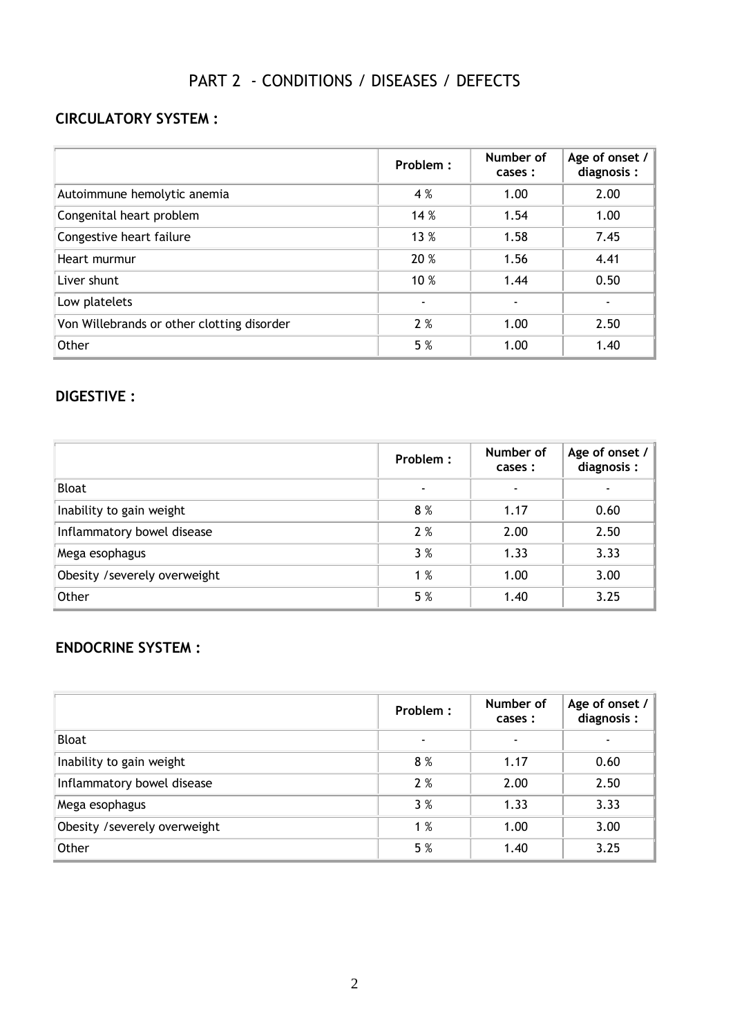# PART 2 - CONDITIONS / DISEASES / DEFECTS

# **CIRCULATORY SYSTEM :**

|                                            | Problem : | Number of<br>cases : | Age of onset $/$<br>diagnosis: |
|--------------------------------------------|-----------|----------------------|--------------------------------|
| Autoimmune hemolytic anemia                | 4 %       | 1.00                 | 2.00                           |
| Congenital heart problem                   | 14 %      | 1.54                 | 1.00                           |
| Congestive heart failure                   | 13 %      | 1.58                 | 7.45                           |
| Heart murmur                               | 20 %      | 1.56                 | 4.41                           |
| Liver shunt                                | 10 %      | 1.44                 | 0.50                           |
| Low platelets                              |           |                      |                                |
| Von Willebrands or other clotting disorder | 2%        | 1.00                 | 2.50                           |
| Other                                      | 5 %       | 1.00                 | 1.40                           |

#### **DIGESTIVE :**

|                               | Problem: | Number of<br>cases :     | Age of onset $/$<br>diagnosis: |
|-------------------------------|----------|--------------------------|--------------------------------|
| <b>Bloat</b>                  |          | $\overline{\phantom{0}}$ |                                |
| Inability to gain weight      | 8%       | 1.17                     | 0.60                           |
| Inflammatory bowel disease    | 2%       | 2.00                     | 2.50                           |
| Mega esophagus                | 3%       | 1.33                     | 3.33                           |
| Obesity / severely overweight | 1%       | 1.00                     | 3.00                           |
| Other                         | 5 %      | 1.40                     | 3.25                           |

# **ENDOCRINE SYSTEM :**

|                               | Problem : | Number of<br>cases :     | Age of onset $/$<br>diagnosis: |
|-------------------------------|-----------|--------------------------|--------------------------------|
| <b>Bloat</b>                  |           | $\overline{\phantom{0}}$ |                                |
| Inability to gain weight      | 8%        | 1.17                     | 0.60                           |
| Inflammatory bowel disease    | 2%        | 2.00                     | 2.50                           |
| Mega esophagus                | 3%        | 1.33                     | 3.33                           |
| Obesity / severely overweight | 1%        | 1.00                     | 3.00                           |
| Other                         | 5 %       | 1.40                     | 3.25                           |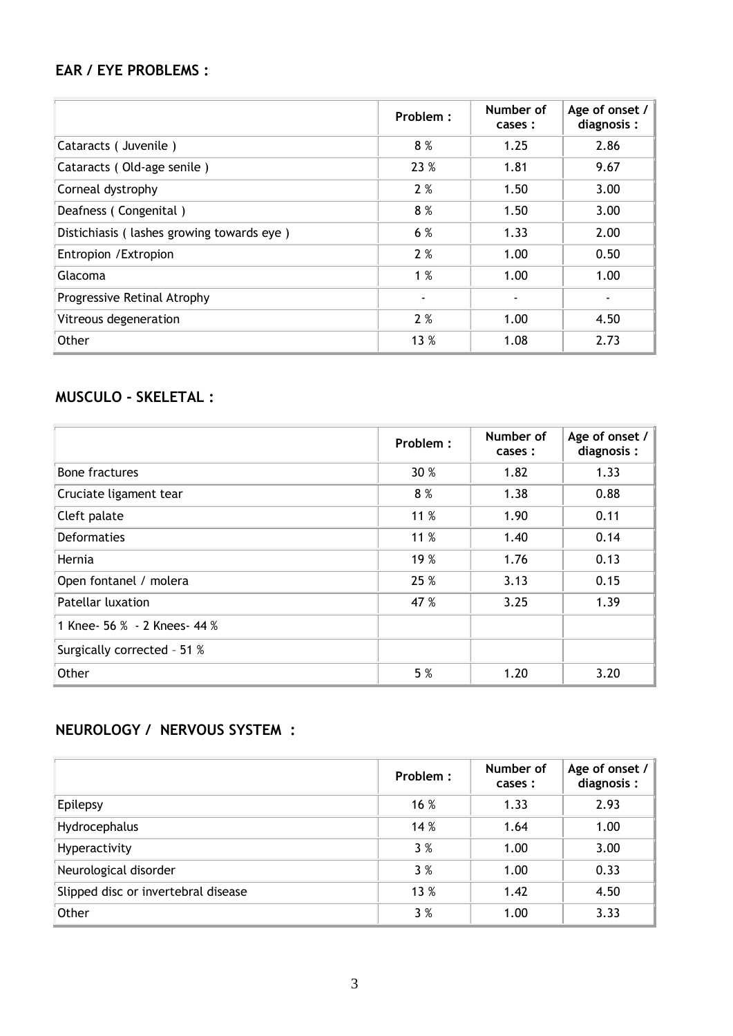# **EAR / EYE PROBLEMS :**

|                                           | Problem : | Number of<br>cases : | Age of onset /<br>diagnosis: |
|-------------------------------------------|-----------|----------------------|------------------------------|
| Cataracts (Juvenile)                      | 8%        | 1.25                 | 2.86                         |
| Cataracts (Old-age senile)                | 23 %      | 1.81                 | 9.67                         |
| Corneal dystrophy                         | 2%        | 1.50                 | 3.00                         |
| Deafness (Congenital)                     | 8%        | 1.50                 | 3.00                         |
| Distichiasis (lashes growing towards eye) | 6 %       | 1.33                 | 2.00                         |
| Entropion / Extropion                     | 2%        | 1.00                 | 0.50                         |
| Glacoma                                   | 1%        | 1.00                 | 1.00                         |
| Progressive Retinal Atrophy               |           |                      |                              |
| Vitreous degeneration                     | 2%        | 1.00                 | 4.50                         |
| Other                                     | 13 %      | 1.08                 | 2.73                         |

# **MUSCULO - SKELETAL :**

|                              | Problem: | Number of<br>cases : | Age of onset $/$<br>diagnosis: |
|------------------------------|----------|----------------------|--------------------------------|
| Bone fractures               | 30 %     | 1.82                 | 1.33                           |
| Cruciate ligament tear       | 8%       | 1.38                 | 0.88                           |
| Cleft palate                 | 11 %     | 1.90                 | 0.11                           |
| <b>Deformaties</b>           | 11 %     | 1.40                 | 0.14                           |
| Hernia                       | 19 %     | 1.76                 | 0.13                           |
| Open fontanel / molera       | 25 %     | 3.13                 | 0.15                           |
| Patellar luxation            | 47 %     | 3.25                 | 1.39                           |
| 1 Knee- 56 % - 2 Knees- 44 % |          |                      |                                |
| Surgically corrected - 51 %  |          |                      |                                |
| Other                        | 5 %      | 1.20                 | 3.20                           |

# **NEUROLOGY / NERVOUS SYSTEM :**

|                                     | Problem: | Number of<br>cases : | Age of onset /<br>diagnosis: |
|-------------------------------------|----------|----------------------|------------------------------|
| Epilepsy                            | 16 %     | 1.33                 | 2.93                         |
| Hydrocephalus                       | 14 %     | 1.64                 | 1.00                         |
| Hyperactivity                       | 3%       | 1.00                 | 3.00                         |
| Neurological disorder               | 3%       | 1.00                 | 0.33                         |
| Slipped disc or invertebral disease | 13 %     | 1.42                 | 4.50                         |
| Other                               | 3%       | 1.00                 | 3.33                         |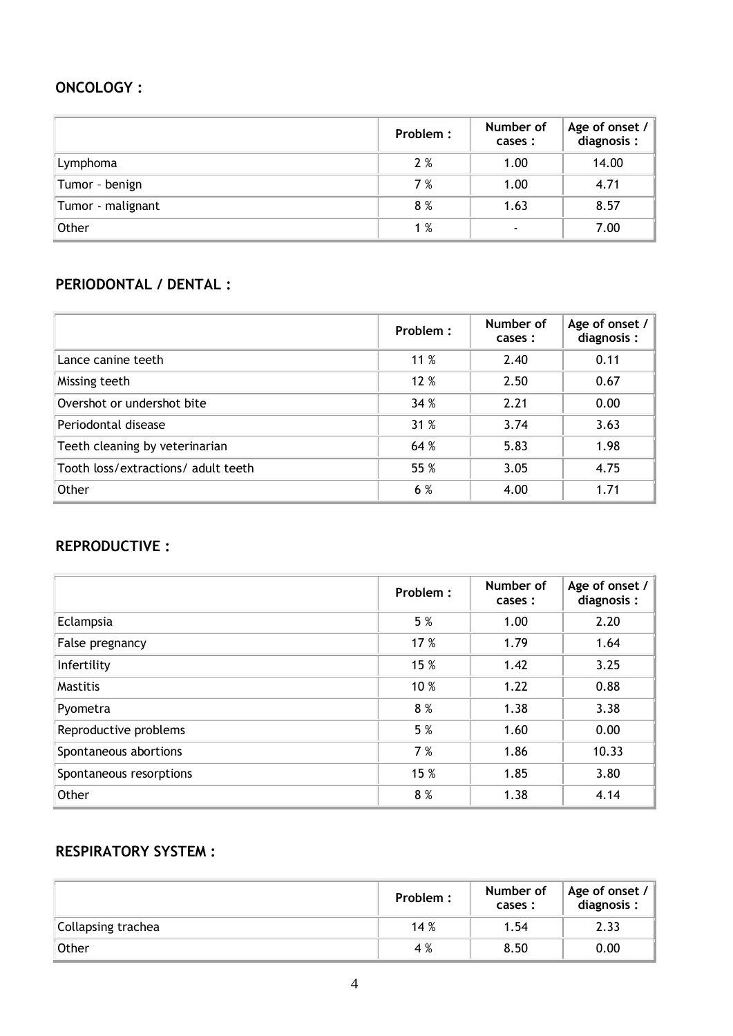#### **ONCOLOGY :**

|                   | Problem: | Number of<br>cases :     | Age of onset $/$<br>diagnosis: |
|-------------------|----------|--------------------------|--------------------------------|
| Lymphoma          | 2%       | 1.00                     | 14.00                          |
| Tumor - benign    | 7%       | 1.00                     | 4.71                           |
| Tumor - malignant | 8%       | 1.63                     | 8.57                           |
| Other             | 1%       | $\overline{\phantom{0}}$ | 7.00                           |

# **PERIODONTAL / DENTAL :**

|                                     | Problem : | Number of<br>cases : | Age of onset $/$<br>diagnosis: |
|-------------------------------------|-----------|----------------------|--------------------------------|
| Lance canine teeth                  | 11 $%$    | 2.40                 | 0.11                           |
| Missing teeth                       | 12 %      | 2.50                 | 0.67                           |
| Overshot or undershot bite          | 34 %      | 2.21                 | 0.00                           |
| Periodontal disease                 | 31%       | 3.74                 | 3.63                           |
| Teeth cleaning by veterinarian      | 64 %      | 5.83                 | 1.98                           |
| Tooth loss/extractions/ adult teeth | 55 %      | 3.05                 | 4.75                           |
| Other                               | 6 %       | 4.00                 | 1.71                           |

#### **REPRODUCTIVE :**

|                         | Problem : | Number of<br>cases : | Age of onset $/$<br>diagnosis: |
|-------------------------|-----------|----------------------|--------------------------------|
| Eclampsia               | 5 %       | 1.00                 | 2.20                           |
| False pregnancy         | 17 %      | 1.79                 | 1.64                           |
| Infertility             | 15 %      | 1.42                 | 3.25                           |
| <b>Mastitis</b>         | 10 %      | 1.22                 | 0.88                           |
| Pyometra                | 8%        | 1.38                 | 3.38                           |
| Reproductive problems   | 5 %       | 1.60                 | 0.00                           |
| Spontaneous abortions   | 7 %       | 1.86                 | 10.33                          |
| Spontaneous resorptions | 15 %      | 1.85                 | 3.80                           |
| Other                   | 8%        | 1.38                 | 4.14                           |

# **RESPIRATORY SYSTEM :**

|                    | Problem: | Number of<br>cases : | $\vert$ Age of onset / $\vert$<br>diagnosis: |
|--------------------|----------|----------------------|----------------------------------------------|
| Collapsing trachea | 14%      | 1.54                 | 2.33                                         |
| Other              | 4 %      | 8.50                 | 0.00                                         |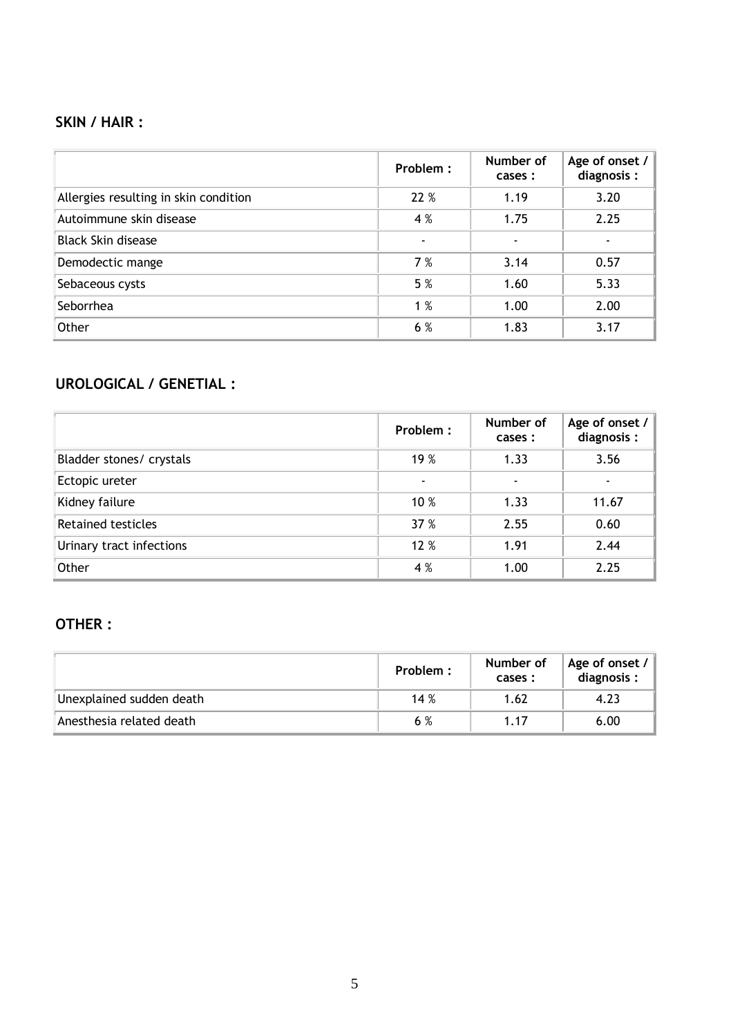# **SKIN / HAIR :**

|                                       | Problem: | Number of<br>cases : | Age of onset $/$<br>diagnosis: |
|---------------------------------------|----------|----------------------|--------------------------------|
| Allergies resulting in skin condition | 22 %     | 1.19                 | 3.20                           |
| Autoimmune skin disease               | 4 %      | 1.75                 | 2.25                           |
| <b>Black Skin disease</b>             |          |                      |                                |
| Demodectic mange                      | 7%       | 3.14                 | 0.57                           |
| Sebaceous cysts                       | 5 %      | 1.60                 | 5.33                           |
| Seborrhea                             | 1%       | 1.00                 | 2.00                           |
| Other                                 | 6 %      | 1.83                 | 3.17                           |

# **UROLOGICAL / GENETIAL :**

|                           | Problem: | Number of<br>cases : | Age of onset /<br>diagnosis: |
|---------------------------|----------|----------------------|------------------------------|
| Bladder stones/ crystals  | 19 %     | 1.33                 | 3.56                         |
| Ectopic ureter            |          |                      |                              |
| Kidney failure            | 10 %     | 1.33                 | 11.67                        |
| <b>Retained testicles</b> | 37 %     | 2.55                 | 0.60                         |
| Urinary tract infections  | 12 %     | 1.91                 | 2.44                         |
| Other                     | 4 %      | 1.00                 | 2.25                         |

# **OTHER :**

|                          | Problem : | Number of<br>cases : | Age of onset $/$<br>diagnosis: |
|--------------------------|-----------|----------------------|--------------------------------|
| Unexplained sudden death | 14%       | 1.62                 | 4.23                           |
| Anesthesia related death | 6 %       | 1.17                 | 6.00                           |